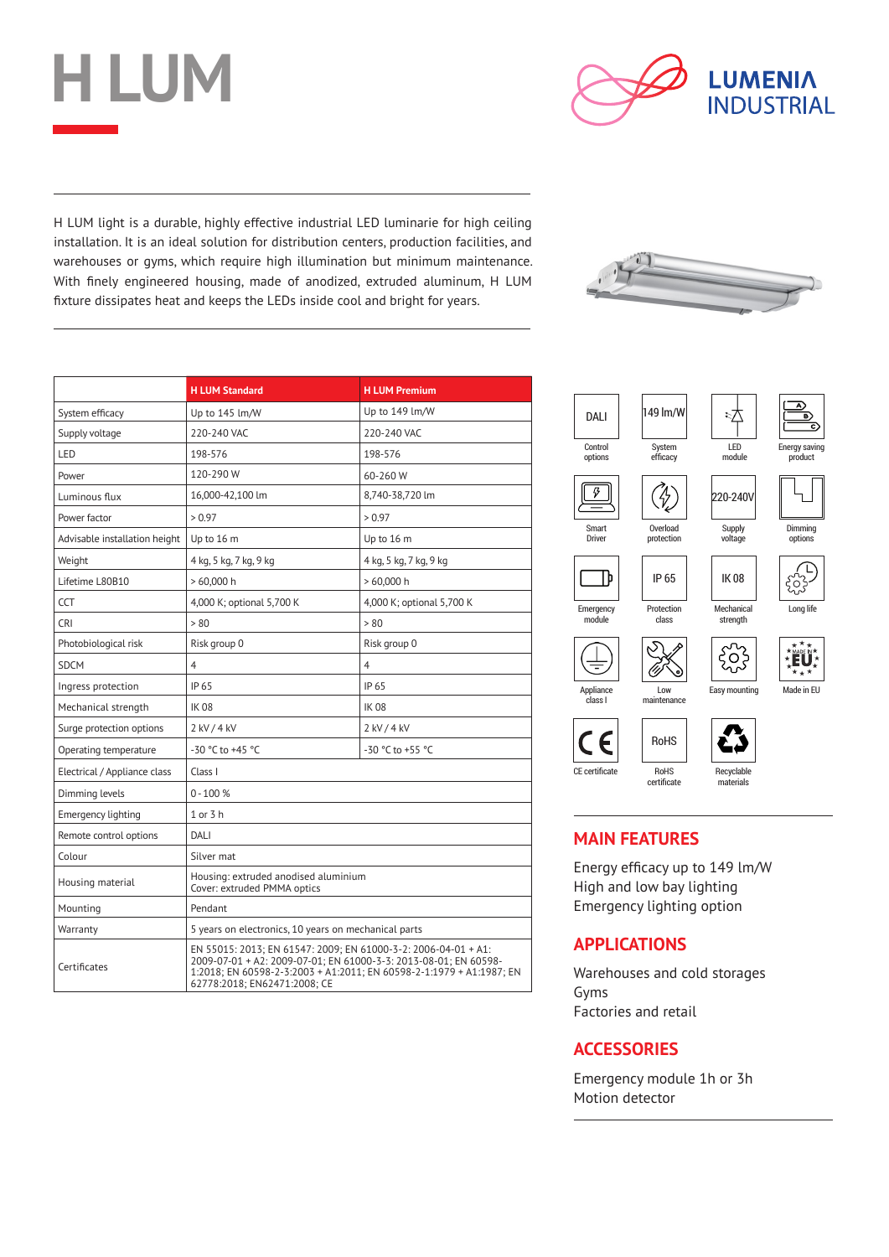



H LUM light is a durable, highly effective industrial LED luminarie for high ceiling installation. It is an ideal solution for distribution centers, production facilities, and warehouses or gyms, which require high illumination but minimum maintenance. With finely engineered housing, made of anodized, extruded aluminum, H LUM fixture dissipates heat and keeps the LEDs inside cool and bright for years.

|                               | <b>H LUM Standard</b>                                                                                                                                                                                                                      | <b>H LUM Premium</b>      |  |  |  |  |
|-------------------------------|--------------------------------------------------------------------------------------------------------------------------------------------------------------------------------------------------------------------------------------------|---------------------------|--|--|--|--|
| System efficacy               | Up to 145 lm/W                                                                                                                                                                                                                             | Up to 149 lm/W            |  |  |  |  |
| Supply voltage                | 220-240 VAC                                                                                                                                                                                                                                | 220-240 VAC               |  |  |  |  |
| LED                           | 198-576                                                                                                                                                                                                                                    | 198-576                   |  |  |  |  |
| Power                         | 120-290 W                                                                                                                                                                                                                                  | 60-260 W                  |  |  |  |  |
| Luminous flux                 | 16,000-42,100 lm                                                                                                                                                                                                                           | 8,740-38,720 lm           |  |  |  |  |
| Power factor                  | > 0.97                                                                                                                                                                                                                                     | > 0.97                    |  |  |  |  |
| Advisable installation height | Up to 16 m                                                                                                                                                                                                                                 | Up to 16 m                |  |  |  |  |
| Weight                        | 4 kg, 5 kg, 7 kg, 9 kg                                                                                                                                                                                                                     | 4 kg, 5 kg, 7 kg, 9 kg    |  |  |  |  |
| Lifetime L80B10               | $>60,000$ h                                                                                                                                                                                                                                | >60,000h                  |  |  |  |  |
| <b>CCT</b>                    | 4,000 K; optional 5,700 K                                                                                                                                                                                                                  | 4,000 K; optional 5,700 K |  |  |  |  |
| CRI.                          | > 80                                                                                                                                                                                                                                       | > 80                      |  |  |  |  |
| Photobiological risk          | Risk group 0                                                                                                                                                                                                                               | Risk group 0              |  |  |  |  |
| <b>SDCM</b>                   | 4                                                                                                                                                                                                                                          | $\overline{4}$            |  |  |  |  |
| Ingress protection            | IP 65                                                                                                                                                                                                                                      | IP 65                     |  |  |  |  |
| Mechanical strength           | <b>IK08</b>                                                                                                                                                                                                                                | <b>IK08</b>               |  |  |  |  |
| Surge protection options      | 2 kV / 4 kV                                                                                                                                                                                                                                | 2 kV / 4 kV               |  |  |  |  |
| Operating temperature         | -30 °C to +45 °C                                                                                                                                                                                                                           | -30 °C to +55 °C          |  |  |  |  |
| Electrical / Appliance class  | Class I                                                                                                                                                                                                                                    |                           |  |  |  |  |
| Dimming levels                | $0 - 100 %$                                                                                                                                                                                                                                |                           |  |  |  |  |
| <b>Emergency lighting</b>     | 1 or 3 h                                                                                                                                                                                                                                   |                           |  |  |  |  |
| Remote control options        | DALI                                                                                                                                                                                                                                       |                           |  |  |  |  |
| Colour                        | Silver mat                                                                                                                                                                                                                                 |                           |  |  |  |  |
| Housing material              | Housing: extruded anodised aluminium<br>Cover: extruded PMMA optics                                                                                                                                                                        |                           |  |  |  |  |
| Mounting                      | Pendant                                                                                                                                                                                                                                    |                           |  |  |  |  |
| Warranty                      | 5 years on electronics, 10 years on mechanical parts                                                                                                                                                                                       |                           |  |  |  |  |
| Certificates                  | EN 55015: 2013; EN 61547: 2009; EN 61000-3-2: 2006-04-01 + A1:<br>2009-07-01 + A2: 2009-07-01; EN 61000-3-3: 2013-08-01; EN 60598-<br>1:2018; EN 60598-2-3:2003 + A1:2011; EN 60598-2-1:1979 + A1:1987; EN<br>62778:2018; EN62471:2008; CE |                           |  |  |  |  |





### **MAIN FEATURES**

Energy efficacy up to 149 lm/W High and low bay lighting Emergency lighting option

### **APPLICATIONS**

Warehouses and cold storages Gyms Factories and retail

### **ACCESSORIES**

Emergency module 1h or 3h Motion detector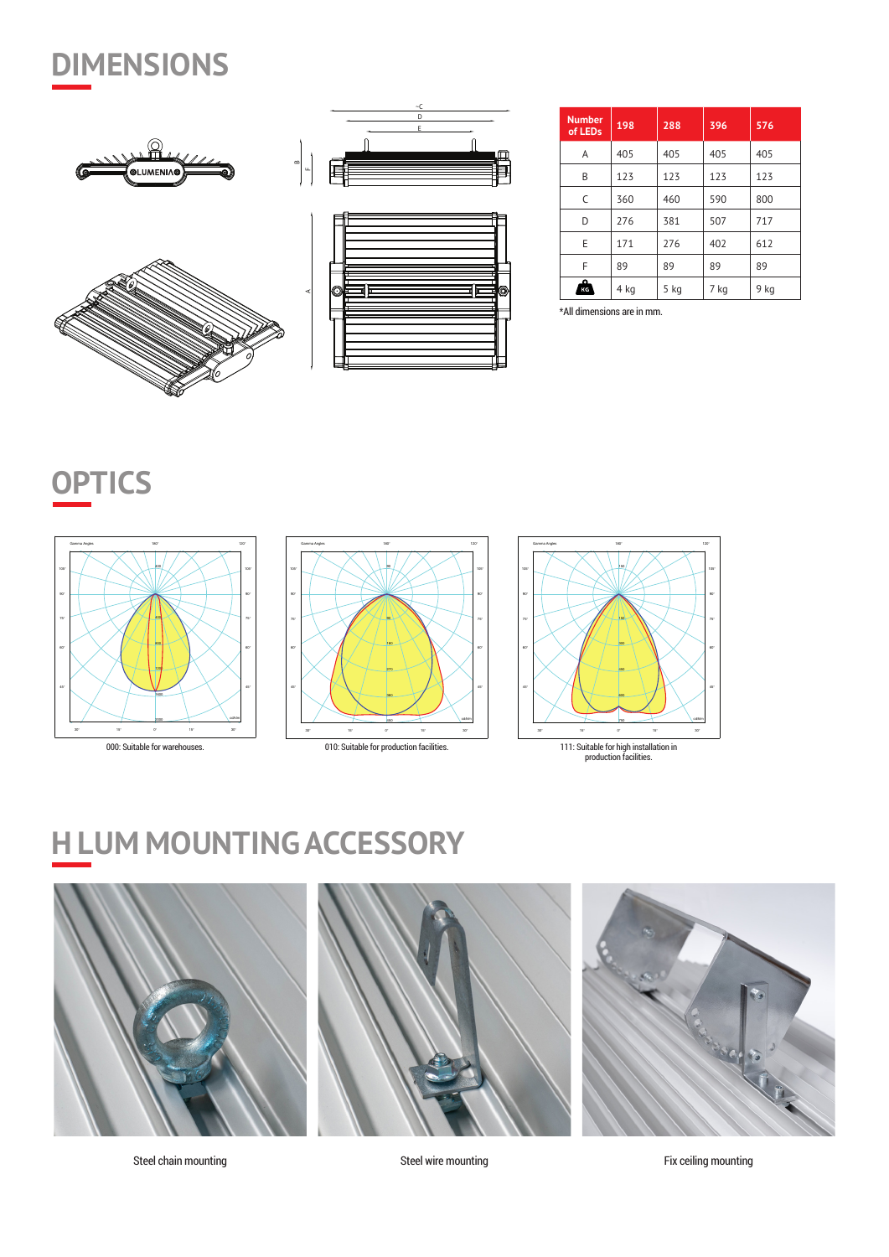## **DIMENSIONS**









| <b>Number</b><br>of LEDs | 198  | 288  | 396  | 576  |
|--------------------------|------|------|------|------|
| A                        | 405  | 405  | 405  | 405  |
| B                        | 123  | 123  | 123  | 123  |
| C                        | 360  | 460  | 590  | 800  |
| D                        | 276  | 381  | 507  | 717  |
| E                        | 171  | 276  | 402  | 612  |
| F                        | 89   | 89   | 89   | 89   |
| ົ<br>КG                  | 4 kg | 5 kg | 7 kg | 9 kg |

\*All dimensions are in mm.

## **OPTICS**









## **H LUM MOUNTING ACCESSORY**



Steel chain mounting **Steel wire mounting** Steel wire mounting Fix ceiling mounting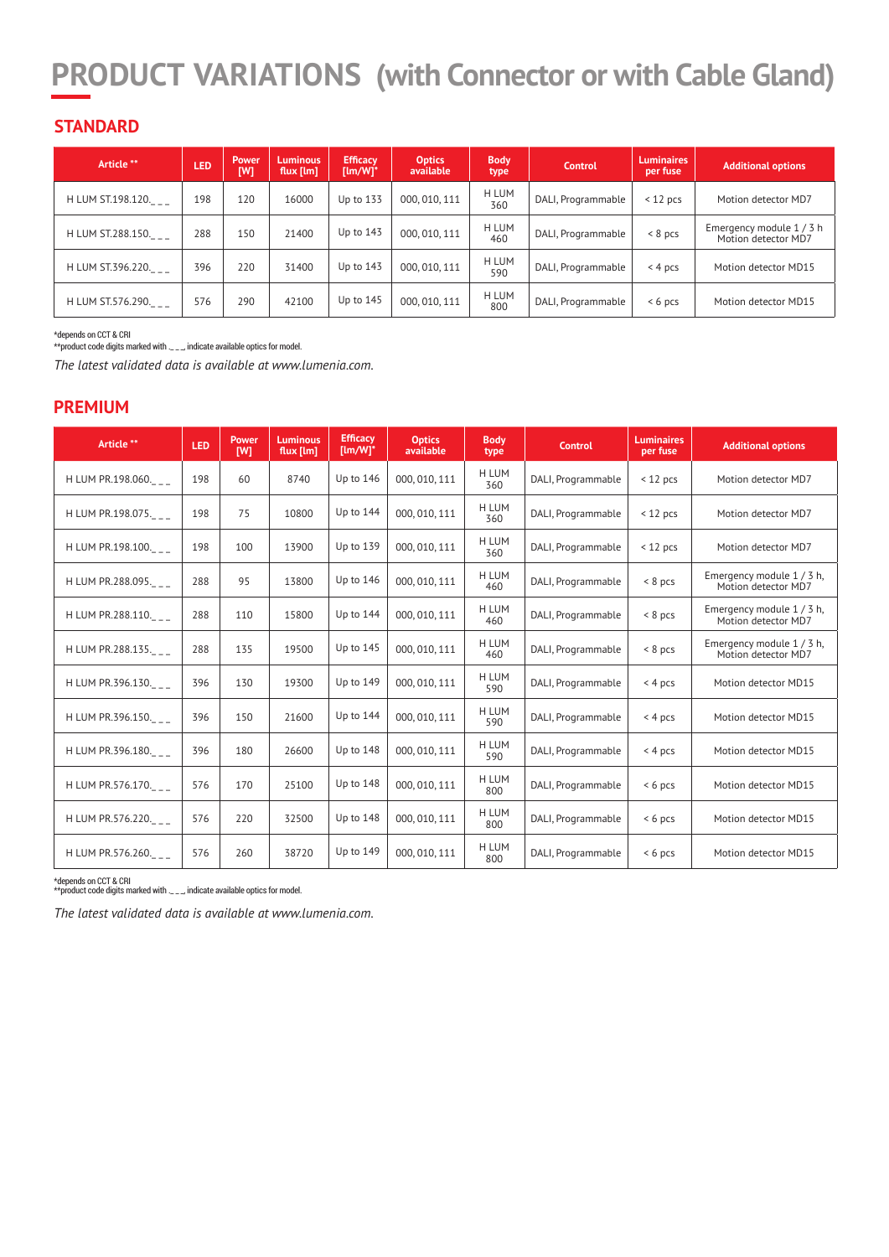## **PRODUCT VARIATIONS (with Connector or with Cable Gland)**

### **STANDARD**

| Article **        | LED | Power<br>[W] | <b>Luminous</b><br>flux [lm] | <b>Efficacy</b><br>$[lm/W]^*$ | <b>Optics</b><br>available | <b>Body</b><br>type | <b>Control</b>     | <b>Luminaires</b><br>per fuse | <b>Additional options</b>                     |
|-------------------|-----|--------------|------------------------------|-------------------------------|----------------------------|---------------------|--------------------|-------------------------------|-----------------------------------------------|
| H LUM ST.198.120. | 198 | 120          | 16000                        | Up to 133                     | 000, 010, 111              | H LUM<br>360        | DALI, Programmable | $<$ 12 pcs                    | Motion detector MD7                           |
| H LUM ST.288.150. | 288 | 150          | 21400                        | Up to 143                     | 000, 010, 111              | H LUM<br>460        | DALI, Programmable | $< 8$ pcs                     | Emergency module 1/3 h<br>Motion detector MD7 |
| H LUM ST.396.220. | 396 | 220          | 31400                        | Up to 143                     | 000, 010, 111              | H LUM<br>590        | DALI, Programmable | $< 4$ pcs                     | Motion detector MD15                          |
| H LUM ST.576.290. | 576 | 290          | 42100                        | Up to 145                     | 000, 010, 111              | H LUM<br>800        | DALI, Programmable | $< 6$ pcs                     | Motion detector MD15                          |

\*depends on CCT & CRI

\*\*product code digits marked with .\_\_\_, indicate available optics for model.

*The latest validated data is available at www.lumenia.com.*

#### **PREMIUM**

| Article **        | LED | Power<br>[W] | <b>Luminous</b><br>flux $[Im]$ | <b>Efficacy</b><br>$[lm/W]^*$ | <b>Optics</b><br>available | <b>Body</b><br>type | <b>Control</b>     | <b>Luminaires</b><br>per fuse | <b>Additional options</b>                        |
|-------------------|-----|--------------|--------------------------------|-------------------------------|----------------------------|---------------------|--------------------|-------------------------------|--------------------------------------------------|
| H LUM PR.198.060. | 198 | 60           | 8740                           | Up to 146                     | 000, 010, 111              | H LUM<br>360        | DALI, Programmable | $<$ 12 pcs                    | Motion detector MD7                              |
| H LUM PR.198.075. | 198 | 75           | 10800                          | Up to 144                     | 000, 010, 111              | H LUM<br>360        | DALI, Programmable | $<$ 12 pcs                    | Motion detector MD7                              |
| H LUM PR.198.100. | 198 | 100          | 13900                          | Up to 139                     | 000, 010, 111              | H LUM<br>360        | DALI, Programmable | $<$ 12 pcs                    | Motion detector MD7                              |
| H LUM PR.288.095. | 288 | 95           | 13800                          | Up to 146                     | 000, 010, 111              | H LUM<br>460        | DALI, Programmable | $< 8$ pcs                     | Emergency module 1 / 3 h,<br>Motion detector MD7 |
| H LUM PR.288.110. | 288 | 110          | 15800                          | Up to 144                     | 000, 010, 111              | H LUM<br>460        | DALI, Programmable | $< 8$ pcs                     | Emergency module 1 / 3 h,<br>Motion detector MD7 |
| H LUM PR.288.135. | 288 | 135          | 19500                          | Up to $145$                   | 000, 010, 111              | H LUM<br>460        | DALI, Programmable | $< 8$ pcs                     | Emergency module 1/3 h,<br>Motion detector MD7   |
| H LUM PR.396.130. | 396 | 130          | 19300                          | Up to 149                     | 000, 010, 111              | <b>H LUM</b><br>590 | DALI, Programmable | < 4 pcs                       | Motion detector MD15                             |
| H LUM PR.396.150. | 396 | 150          | 21600                          | Up to 144                     | 000, 010, 111              | H LUM<br>590        | DALI, Programmable | < 4 pcs                       | Motion detector MD15                             |
| H LUM PR.396.180. | 396 | 180          | 26600                          | Up to 148                     | 000, 010, 111              | H LUM<br>590        | DALI, Programmable | < 4 pcs                       | Motion detector MD15                             |
| H LUM PR.576.170. | 576 | 170          | 25100                          | Up to 148                     | 000, 010, 111              | H LUM<br>800        | DALI, Programmable | $< 6$ pcs                     | Motion detector MD15                             |
| H LUM PR.576.220. | 576 | 220          | 32500                          | Up to 148                     | 000, 010, 111              | H LUM<br>800        | DALI, Programmable | $< 6$ pcs                     | Motion detector MD15                             |
| H LUM PR.576.260. | 576 | 260          | 38720                          | Up to 149                     | 000, 010, 111              | H LUM<br>800        | DALI, Programmable | $< 6$ pcs                     | Motion detector MD15                             |

\*depends on CCT & CRI \*\*product code digits marked with .\_ \_ \_, indicate available optics for model.

*The latest validated data is available at www.lumenia.com.*